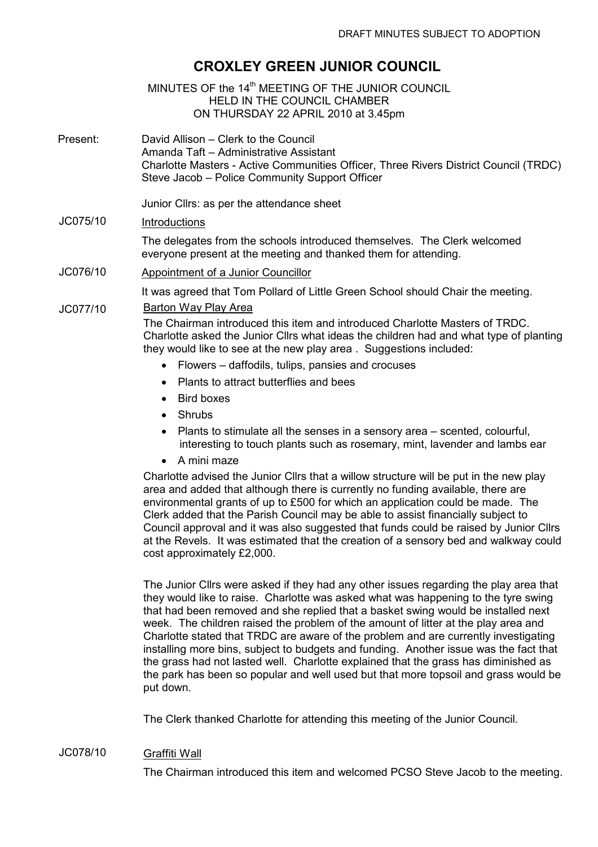# CROXLEY GREEN JUNIOR COUNCIL

MINUTES OF the 14<sup>th</sup> MEETING OF THE JUNIOR COUNCIL HELD IN THE COUNCIL CHAMBER ON THURSDAY 22 APRIL 2010 at 3.45pm

Present: David Allison – Clerk to the Council Amanda Taft – Administrative Assistant Charlotte Masters - Active Communities Officer, Three Rivers District Council (TRDC) Steve Jacob – Police Community Support Officer

Junior Cllrs: as per the attendance sheet

## JC075/10 Introductions

The delegates from the schools introduced themselves. The Clerk welcomed everyone present at the meeting and thanked them for attending.

JC076/10 Appointment of a Junior Councillor

It was agreed that Tom Pollard of Little Green School should Chair the meeting.

#### JC077/10 Barton Way Play Area

The Chairman introduced this item and introduced Charlotte Masters of TRDC. Charlotte asked the Junior Cllrs what ideas the children had and what type of planting they would like to see at the new play area . Suggestions included:

- Flowers daffodils, tulips, pansies and crocuses
- Plants to attract butterflies and bees
- Bird boxes
- Shrubs
- Plants to stimulate all the senses in a sensory area scented, colourful, interesting to touch plants such as rosemary, mint, lavender and lambs ear
- A mini maze

Charlotte advised the Junior Cllrs that a willow structure will be put in the new play area and added that although there is currently no funding available, there are environmental grants of up to £500 for which an application could be made. The Clerk added that the Parish Council may be able to assist financially subject to Council approval and it was also suggested that funds could be raised by Junior Cllrs at the Revels. It was estimated that the creation of a sensory bed and walkway could cost approximately £2,000.

The Junior Cllrs were asked if they had any other issues regarding the play area that they would like to raise. Charlotte was asked what was happening to the tyre swing that had been removed and she replied that a basket swing would be installed next week. The children raised the problem of the amount of litter at the play area and Charlotte stated that TRDC are aware of the problem and are currently investigating installing more bins, subject to budgets and funding. Another issue was the fact that the grass had not lasted well. Charlotte explained that the grass has diminished as the park has been so popular and well used but that more topsoil and grass would be put down.

The Clerk thanked Charlotte for attending this meeting of the Junior Council.

#### JC078/10 Graffiti Wall

The Chairman introduced this item and welcomed PCSO Steve Jacob to the meeting.